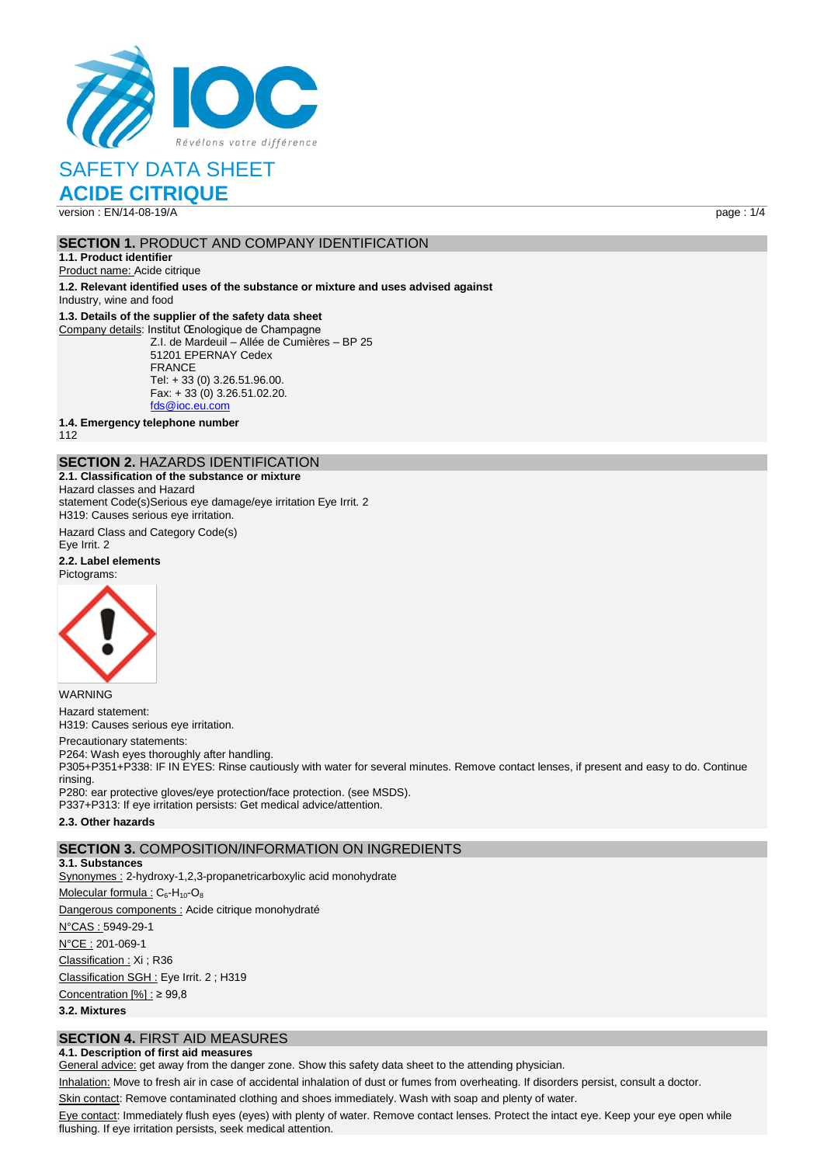

# SAFETY DATA SHEET

**ACIDE CITRIQUE**

version : EN/14-08-19/A page : 1/4

## **SECTION 1. PRODUCT AND COMPANY IDENTIFICATION**

**1.1. Product identifier** Product name: Acide citrique

**1.2. Relevant identified uses of the substance or mixture and uses advised against**

Industry, wine and food

## **1.3. Details of the supplier of the safety data sheet**

Company details: Institut Œnologique de Champagne Z.I. de Mardeuil – Allée de Cumières – BP 25 51201 EPERNAY Cedex FRANCE Tel: + 33 (0) 3.26.51.96.00. Fax: + 33 (0) 3.26.51.02.20. [fds@ioc.eu.com](mailto:fds@ioc.eu.com)

**1.4. Emergency telephone number**

112

## **SECTION 2.** HAZARDS IDENTIFICATION

**2.1. Classification of the substance or mixture** Hazard classes and Hazard statement Code(s)Serious eye damage/eye irritation Eye Irrit. 2 H319: Causes serious eye irritation.

Hazard Class and Category Code(s) Eye Irrit. 2

**2.2. Label elements** Pictograms:



WARNING Hazard statement: H319: Causes serious eye irritation.

#### Precautionary statements:

P264: Wash eyes thoroughly after handling. P305+P351+P338: IF IN EYES: Rinse cautiously with water for several minutes. Remove contact lenses, if present and easy to do. Continue rinsing. P280: ear protective gloves/eye protection/face protection. (see MSDS). P337+P313: If eye irritation persists: Get medical advice/attention.

#### **2.3. Other hazards**

## **SECTION 3.** COMPOSITION/INFORMATION ON INGREDIENTS

**3.1. Substances** Synonymes : 2-hydroxy-1,2,3-propanetricarboxylic acid monohydrate Molecular formula :  $C_6$ -H<sub>10</sub>-O<sub>8</sub> Dangerous components : Acide citrique monohydraté N°CAS : 5949-29-1 N°CE : 201-069-1 Classification : Xi ; R36 Classification SGH : Eye Irrit. 2 ; H319 Concentration [%] : ≥ 99,8 **3.2. Mixtures**

## **SECTION 4.** FIRST AID MEASURES

## **4.1. Description of first aid measures**

General advice: get away from the danger zone. Show this safety data sheet to the attending physician.

Inhalation: Move to fresh air in case of accidental inhalation of dust or fumes from overheating. If disorders persist, consult a doctor.

Skin contact: Remove contaminated clothing and shoes immediately. Wash with soap and plenty of water.

Eye contact: Immediately flush eyes (eyes) with plenty of water. Remove contact lenses. Protect the intact eye. Keep your eye open while flushing. If eye irritation persists, seek medical attention.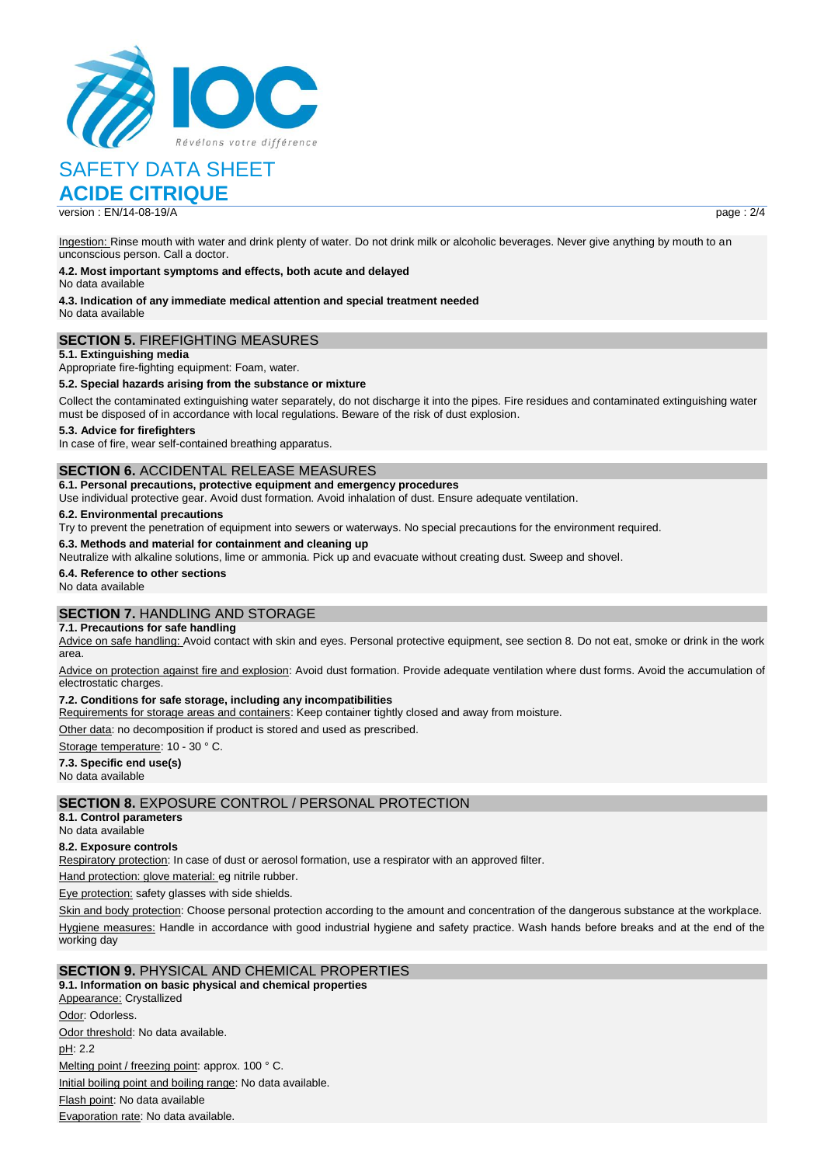

# SAFETY DATA SHEET

## **ACIDE CITRIQUE**

version : FN/14-08-19/A page : 2/4

Ingestion: Rinse mouth with water and drink plenty of water. Do not drink milk or alcoholic beverages. Never give anything by mouth to an unconscious person. Call a doctor.

#### **4.2. Most important symptoms and effects, both acute and delayed**

No data available

**4.3. Indication of any immediate medical attention and special treatment needed** No data available

## **SECTION 5.** FIREFIGHTING MEASURES

**5.1. Extinguishing media**

Appropriate fire-fighting equipment: Foam, water.

### **5.2. Special hazards arising from the substance or mixture**

Collect the contaminated extinguishing water separately, do not discharge it into the pipes. Fire residues and contaminated extinguishing water must be disposed of in accordance with local regulations. Beware of the risk of dust explosion.

### **5.3. Advice for firefighters**

In case of fire, wear self-contained breathing apparatus.

## **SECTION 6.** ACCIDENTAL RELEASE MEASURES

### **6.1. Personal precautions, protective equipment and emergency procedures**

Use individual protective gear. Avoid dust formation. Avoid inhalation of dust. Ensure adequate ventilation.

#### **6.2. Environmental precautions**

Try to prevent the penetration of equipment into sewers or waterways. No special precautions for the environment required.

#### **6.3. Methods and material for containment and cleaning up**

Neutralize with alkaline solutions, lime or ammonia. Pick up and evacuate without creating dust. Sweep and shovel.

#### **6.4. Reference to other sections**

No data available

## **SECTION 7.** HANDLING AND STORAGE

#### **7.1. Precautions for safe handling**

Advice on safe handling: Avoid contact with skin and eyes. Personal protective equipment, see section 8. Do not eat, smoke or drink in the work area.

Advice on protection against fire and explosion: Avoid dust formation. Provide adequate ventilation where dust forms. Avoid the accumulation of electrostatic charges.

#### **7.2. Conditions for safe storage, including any incompatibilities**

Requirements for storage areas and containers: Keep container tightly closed and away from moisture.

Other data: no decomposition if product is stored and used as prescribed.

Storage temperature: 10 - 30 ° C.

## **7.3. Specific end use(s)**

No data available

## **SECTION 8.** EXPOSURE CONTROL / PERSONAL PROTECTION

**8.1. Control parameters** No data available

## **8.2. Exposure controls**

Respiratory protection: In case of dust or aerosol formation, use a respirator with an approved filter.

Hand protection: glove material: eg nitrile rubber.

Eye protection: safety glasses with side shields.

Skin and body protection: Choose personal protection according to the amount and concentration of the dangerous substance at the workplace. Hygiene measures: Handle in accordance with good industrial hygiene and safety practice. Wash hands before breaks and at the end of the working day

## **SECTION 9.** PHYSICAL AND CHEMICAL PROPERTIES

**9.1. Information on basic physical and chemical properties** Appearance: Crystallized Odor: Odorless. Odor threshold: No data available. pH: 2.2 Melting point / freezing point: approx. 100 °C. Initial boiling point and boiling range: No data available. Flash point: No data available Evaporation rate: No data available.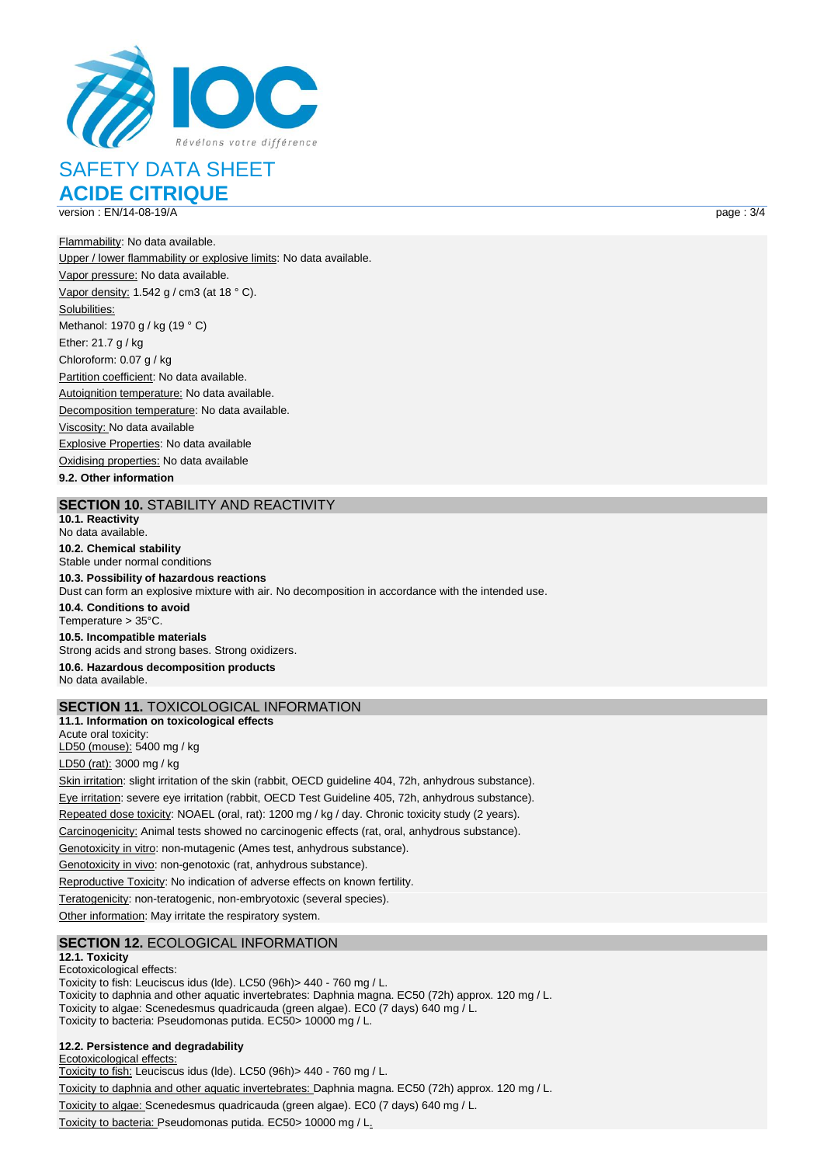

SAFETY DATA SHEET **ACIDE CITRIQUE**

version : EN/14-08-19/A page : 3/4

Flammability: No data available. Upper / lower flammability or explosive limits: No data available. Vapor pressure: No data available. Vapor density: 1.542 g / cm3 (at 18 ° C). Solubilities: Methanol: 1970 g / kg (19 ° C) Ether: 21.7 g / kg Chloroform: 0.07 g / kg Partition coefficient: No data available. Autoignition temperature: No data available. Decomposition temperature: No data available. Viscosity: No data available Explosive Properties: No data available Oxidising properties: No data available

**9.2. Other information**

## **SECTION 10.** STABILITY AND REACTIVITY

**10.1. Reactivity** No data available. **10.2. Chemical stability** Stable under normal conditions **10.3. Possibility of hazardous reactions** Dust can form an explosive mixture with air. No decomposition in accordance with the intended use. **10.4. Conditions to avoid** Temperature > 35°C. **10.5. Incompatible materials** Strong acids and strong bases. Strong oxidizers. **10.6. Hazardous decomposition products** No data available.

## **SECTION 11.** TOXICOLOGICAL INFORMATION

**11.1. Information on toxicological effects** Acute oral toxicity: LD50 (mouse): 5400 mg / kg LD50 (rat): 3000 mg / kg Skin irritation: slight irritation of the skin (rabbit, OECD guideline 404, 72h, anhydrous substance). Eye irritation: severe eye irritation (rabbit, OECD Test Guideline 405, 72h, anhydrous substance). Repeated dose toxicity: NOAEL (oral, rat): 1200 mg / kg / day. Chronic toxicity study (2 years). Carcinogenicity: Animal tests showed no carcinogenic effects (rat, oral, anhydrous substance). Genotoxicity in vitro: non-mutagenic (Ames test, anhydrous substance). Genotoxicity in vivo: non-genotoxic (rat, anhydrous substance). Reproductive Toxicity: No indication of adverse effects on known fertility. Teratogenicity: non-teratogenic, non-embryotoxic (several species).

Other information: May irritate the respiratory system.

## **SECTION 12.** ECOLOGICAL INFORMATION

#### **12.1. Toxicity**

Ecotoxicological effects:

Toxicity to fish: Leuciscus idus (lde). LC50 (96h)> 440 - 760 mg / L. Toxicity to daphnia and other aquatic invertebrates: Daphnia magna. EC50 (72h) approx. 120 mg / L. Toxicity to algae: Scenedesmus quadricauda (green algae). EC0 (7 days) 640 mg / L. Toxicity to bacteria: Pseudomonas putida. EC50> 10000 mg / L.

## **12.2. Persistence and degradability**

Ecotoxicological effects: Toxicity to fish: Leuciscus idus (lde). LC50 (96h)> 440 - 760 mg / L.

Toxicity to daphnia and other aquatic invertebrates: Daphnia magna. EC50 (72h) approx. 120 mg / L.

Toxicity to algae: Scenedesmus quadricauda (green algae). EC0 (7 days) 640 mg / L.

Toxicity to bacteria: Pseudomonas putida. EC50> 10000 mg / L.